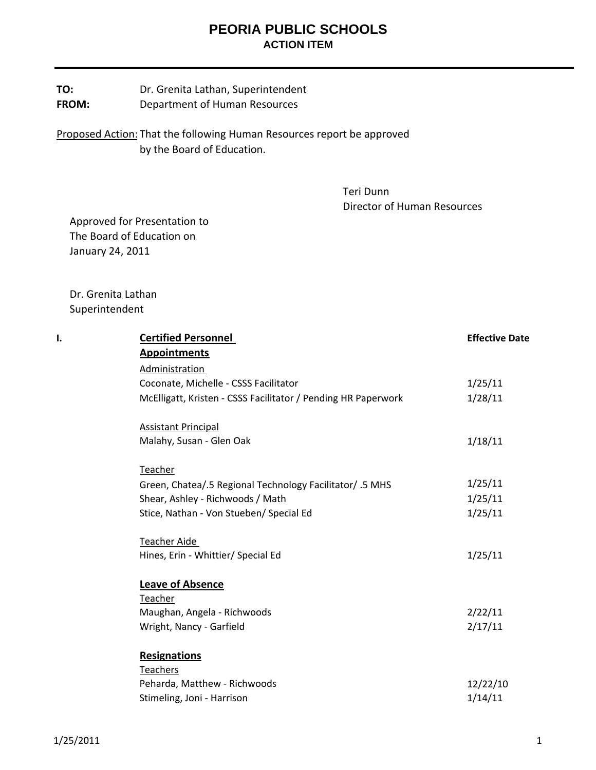# **PEORIA PUBLIC SCHOOLS ACTION ITEM**

### **TO:** Dr. Grenita Lathan, Superintendent **FROM:** Department of Human Resources

Proposed Action: That the following Human Resources report be approved by the Board of Education.

> Teri Dunn Director of Human Resources

 Approved for Presentation to The Board of Education on January 24, 2011

 Dr. Grenita Lathan Superintendent

| ı. | <b>Certified Personnel</b>                                    | <b>Effective Date</b> |
|----|---------------------------------------------------------------|-----------------------|
|    | <b>Appointments</b>                                           |                       |
|    | Administration                                                |                       |
|    | Coconate, Michelle - CSSS Facilitator                         | 1/25/11               |
|    | McElligatt, Kristen - CSSS Facilitator / Pending HR Paperwork | 1/28/11               |
|    | <b>Assistant Principal</b>                                    |                       |
|    | Malahy, Susan - Glen Oak                                      | 1/18/11               |
|    | Teacher                                                       |                       |
|    | Green, Chatea/.5 Regional Technology Facilitator/ .5 MHS      | 1/25/11               |
|    | Shear, Ashley - Richwoods / Math                              | 1/25/11               |
|    | Stice, Nathan - Von Stueben/ Special Ed                       | 1/25/11               |
|    | <b>Teacher Aide</b>                                           |                       |
|    | Hines, Erin - Whittier/ Special Ed                            | 1/25/11               |
|    | <b>Leave of Absence</b>                                       |                       |
|    | Teacher                                                       |                       |
|    | Maughan, Angela - Richwoods                                   | 2/22/11               |
|    | Wright, Nancy - Garfield                                      | 2/17/11               |
|    | <b>Resignations</b>                                           |                       |
|    | Teachers                                                      |                       |
|    | Peharda, Matthew - Richwoods                                  | 12/22/10              |
|    | Stimeling, Joni - Harrison                                    | 1/14/11               |
|    |                                                               |                       |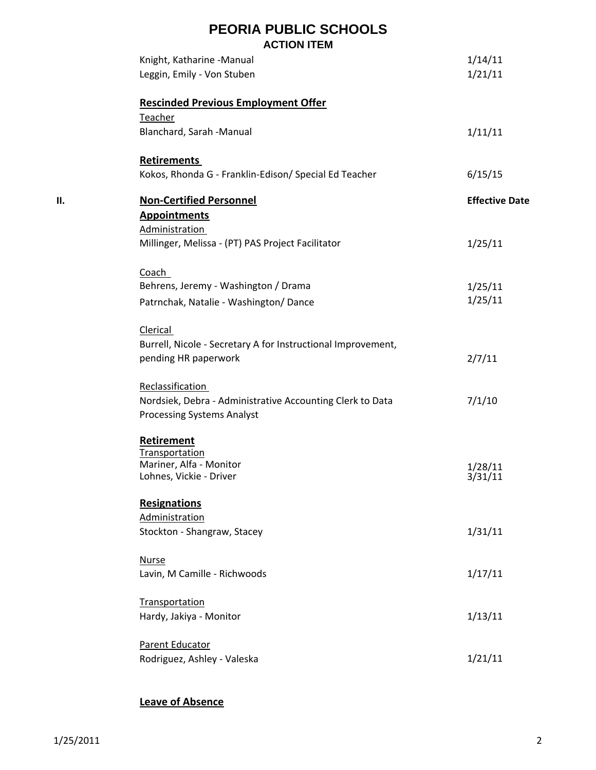|    | <b>PEORIA PUBLIC SCHOOLS</b><br><b>ACTION ITEM</b>                                             |                       |
|----|------------------------------------------------------------------------------------------------|-----------------------|
|    | Knight, Katharine -Manual                                                                      | 1/14/11               |
|    | Leggin, Emily - Von Stuben                                                                     | 1/21/11               |
|    | <b>Rescinded Previous Employment Offer</b>                                                     |                       |
|    | Teacher<br>Blanchard, Sarah -Manual                                                            | 1/11/11               |
|    | <b>Retirements</b>                                                                             |                       |
|    | Kokos, Rhonda G - Franklin-Edison/ Special Ed Teacher                                          | 6/15/15               |
| П. | <b>Non-Certified Personnel</b>                                                                 | <b>Effective Date</b> |
|    | <b>Appointments</b><br>Administration                                                          |                       |
|    | Millinger, Melissa - (PT) PAS Project Facilitator                                              | 1/25/11               |
|    | Coach                                                                                          |                       |
|    | Behrens, Jeremy - Washington / Drama                                                           | 1/25/11               |
|    | Patrnchak, Natalie - Washington/Dance                                                          | 1/25/11               |
|    | Clerical                                                                                       |                       |
|    | Burrell, Nicole - Secretary A for Instructional Improvement,                                   |                       |
|    | pending HR paperwork                                                                           | 2/7/11                |
|    | Reclassification                                                                               |                       |
|    | Nordsiek, Debra - Administrative Accounting Clerk to Data<br><b>Processing Systems Analyst</b> | 7/1/10                |
|    | Retirement                                                                                     |                       |
|    | Transportation                                                                                 |                       |
|    | Mariner, Alfa - Monitor<br>Lohnes, Vickie - Driver                                             | 1/28/11<br>3/31/11    |
|    | Resignations                                                                                   |                       |
|    | Administration                                                                                 |                       |
|    | Stockton - Shangraw, Stacey                                                                    | 1/31/11               |
|    | <b>Nurse</b>                                                                                   |                       |
|    | Lavin, M Camille - Richwoods                                                                   | 1/17/11               |
|    | Transportation                                                                                 |                       |
|    | Hardy, Jakiya - Monitor                                                                        | 1/13/11               |
|    | Parent Educator                                                                                |                       |
|    | Rodriguez, Ashley - Valeska                                                                    | 1/21/11               |

## **Leave of Absence**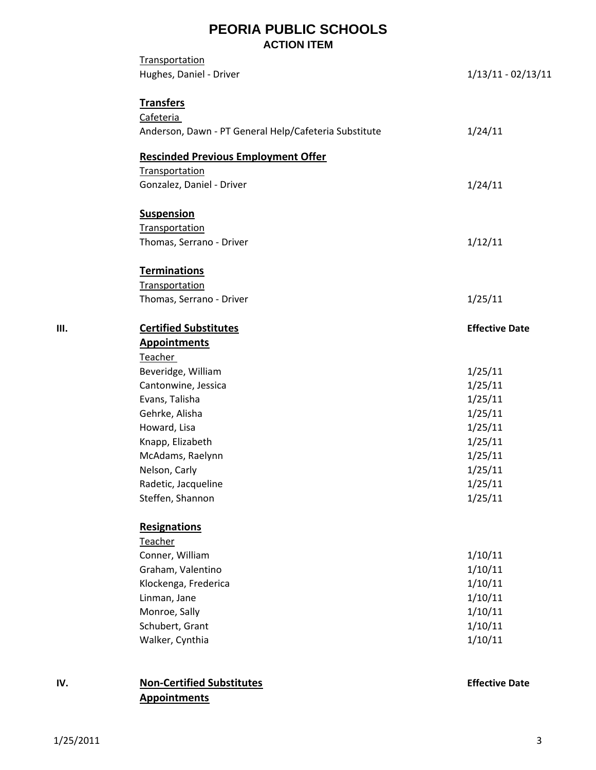## **PEORIA PUBLIC SCHOOLS ACTION ITEM**

|    | Transportation                                        |                       |
|----|-------------------------------------------------------|-----------------------|
|    | Hughes, Daniel - Driver                               | $1/13/11 - 02/13/11$  |
|    | <b>Transfers</b>                                      |                       |
|    | Cafeteria                                             |                       |
|    | Anderson, Dawn - PT General Help/Cafeteria Substitute | 1/24/11               |
|    | <b>Rescinded Previous Employment Offer</b>            |                       |
|    | Transportation                                        |                       |
|    | Gonzalez, Daniel - Driver                             | 1/24/11               |
|    | <b>Suspension</b>                                     |                       |
|    | <b>Transportation</b>                                 |                       |
|    | Thomas, Serrano - Driver                              | 1/12/11               |
|    | <b>Terminations</b>                                   |                       |
|    | Transportation                                        |                       |
|    | Thomas, Serrano - Driver                              | 1/25/11               |
| Ш. | <b>Certified Substitutes</b>                          | <b>Effective Date</b> |
|    | <b>Appointments</b>                                   |                       |
|    | Teacher                                               |                       |
|    | Beveridge, William                                    | 1/25/11               |
|    | Cantonwine, Jessica                                   | 1/25/11               |
|    | Evans, Talisha                                        | 1/25/11               |
|    | Gehrke, Alisha                                        | 1/25/11               |
|    | Howard, Lisa                                          | 1/25/11               |
|    | Knapp, Elizabeth                                      | 1/25/11               |
|    | McAdams, Raelynn                                      | 1/25/11               |
|    | Nelson, Carly                                         | 1/25/11               |
|    | Radetic, Jacqueline                                   | 1/25/11               |
|    | Steffen, Shannon                                      | 1/25/11               |
|    | Resignations                                          |                       |
|    | Teacher                                               |                       |
|    | Conner, William                                       | 1/10/11               |
|    | Graham, Valentino                                     | 1/10/11               |
|    | Klockenga, Frederica                                  | 1/10/11               |
|    | Linman, Jane                                          | 1/10/11               |
|    | Monroe, Sally                                         | 1/10/11               |
|    | Schubert, Grant                                       | 1/10/11               |
|    | Walker, Cynthia                                       | 1/10/11               |
|    |                                                       |                       |

## **IV. Non‐Certified Substitutes Effective Date Appointments**